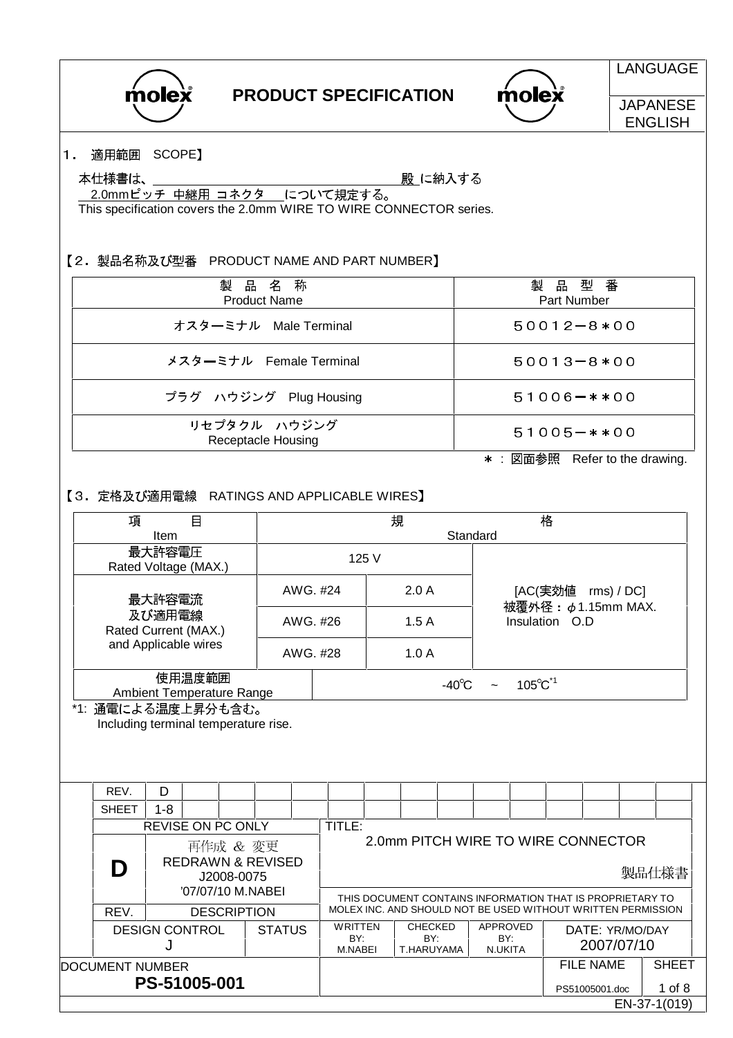| molex |
|-------|
|       |

 $m$ olex

**LANGUAGE JAPANESE** 

ENGLISH

#### 1. 適用範囲 SCOPE】

本仕様書は、\_

殿 に納入する

2.0mmピッチ 中継用 コネクタ について規定する。

This specification covers the 2.0mm WIRE TO WIRE CONNECTOR series.

【2. 製品名称及び型番 PRODUCT NAME AND PART NUMBER】

| 製品名称<br><b>Product Name</b>        | 製品型番<br>Part Number                                                                                                                                                                                                                                                                                                                                                                                                               |
|------------------------------------|-----------------------------------------------------------------------------------------------------------------------------------------------------------------------------------------------------------------------------------------------------------------------------------------------------------------------------------------------------------------------------------------------------------------------------------|
| オスターミナル Male Terminal              | $50012 - 8*00$                                                                                                                                                                                                                                                                                                                                                                                                                    |
| メスターミナル Female Terminal            | $50013 - 8*00$                                                                                                                                                                                                                                                                                                                                                                                                                    |
| プラグ ハウジング Plug Housing             | $51006 - **00$                                                                                                                                                                                                                                                                                                                                                                                                                    |
| リセプタクル ハウジング<br>Receptacle Housing | $51005 - **00$                                                                                                                                                                                                                                                                                                                                                                                                                    |
|                                    | $\begin{array}{ccccccccccccccccc} \text{m} & \text{m} & \text{m} & \text{m} & \text{m} & \text{m} & \text{m} & \text{m} & \text{m} & \text{m} & \text{m} & \text{m} & \text{m} & \text{m} & \text{m} & \text{m} & \text{m} & \text{m} & \text{m} & \text{m} & \text{m} & \text{m} & \text{m} & \text{m} & \text{m} & \text{m} & \text{m} & \text{m} & \text{m} & \text{m} & \text{m} & \text{m} & \text{m} & \text{m} & \text{m}$ |

\* :図面参照 Refer to the drawing.

### 【3. 定格及び適用電線 RATINGS AND APPLICABLE WIRES】

| $\Box$<br>項<br>Item                             |                                     |          |            |                              |          |                                  | 規                                                                                                                         |                                     | Standard        |                                   | 格                             |  |                               |                                                |              |  |
|-------------------------------------------------|-------------------------------------|----------|------------|------------------------------|----------|----------------------------------|---------------------------------------------------------------------------------------------------------------------------|-------------------------------------|-----------------|-----------------------------------|-------------------------------|--|-------------------------------|------------------------------------------------|--------------|--|
| 最大許容電圧<br>Rated Voltage (MAX.)                  |                                     |          |            | 125 V                        |          |                                  |                                                                                                                           |                                     |                 |                                   |                               |  |                               |                                                |              |  |
|                                                 | 最大許容電流                              |          |            |                              |          |                                  | AWG. #24                                                                                                                  |                                     |                 | 2.0A                              |                               |  |                               | [AC(実効値 rms) / DC]<br>被覆外径: $\phi$ 1.15mm MAX. |              |  |
| 及び適用電線<br>Rated Current (MAX.)                  |                                     |          | AWG. #26   |                              |          | 1.5A                             |                                                                                                                           |                                     | Insulation O.D  |                                   |                               |  |                               |                                                |              |  |
| and Applicable wires                            |                                     |          |            |                              | AWG. #28 |                                  |                                                                                                                           | 1.0A                                |                 |                                   |                               |  |                               |                                                |              |  |
| *1: 通電による温度上昇分も含む。                              | Ambient Temperature Range           | 使用温度範囲   |            |                              |          |                                  |                                                                                                                           |                                     | $-40^{\circ}$ C |                                   | $105^{\circ}$ C <sup>*1</sup> |  |                               |                                                |              |  |
|                                                 |                                     |          |            |                              |          |                                  |                                                                                                                           |                                     |                 |                                   |                               |  |                               |                                                |              |  |
| REV.                                            | D                                   |          |            |                              |          |                                  |                                                                                                                           |                                     |                 |                                   |                               |  |                               |                                                |              |  |
| <b>SHEET</b>                                    | $1 - 8$<br><b>REVISE ON PC ONLY</b> |          |            |                              |          | <b>TITLE:</b>                    |                                                                                                                           |                                     |                 |                                   |                               |  |                               |                                                |              |  |
| D                                               |                                     | 再作成 & 変更 | J2008-0075 | <b>REDRAWN &amp; REVISED</b> |          |                                  |                                                                                                                           | 2.0mm PITCH WIRE TO WIRE CONNECTOR  |                 |                                   |                               |  |                               |                                                | 製品仕様書        |  |
| '07/07/10 M.NABEI<br>REV.<br><b>DESCRIPTION</b> |                                     |          |            |                              |          |                                  | THIS DOCUMENT CONTAINS INFORMATION THAT IS PROPRIETARY TO<br>MOLEX INC. AND SHOULD NOT BE USED WITHOUT WRITTEN PERMISSION |                                     |                 |                                   |                               |  |                               |                                                |              |  |
|                                                 | <b>DESIGN CONTROL</b><br>J          |          |            | <b>STATUS</b>                |          | <b>WRITTEN</b><br>BY:<br>M.NABEI |                                                                                                                           | <b>CHECKED</b><br>BY:<br>T.HARUYAMA |                 | <b>APPROVED</b><br>BY:<br>N.UKITA |                               |  | DATE: YR/MO/DAY<br>2007/07/10 |                                                |              |  |
| <b>DOCUMENT NUMBER</b>                          |                                     |          |            |                              |          |                                  |                                                                                                                           |                                     |                 |                                   |                               |  | <b>FILE NAME</b>              |                                                | <b>SHEET</b> |  |
|                                                 | PS-51005-001                        |          |            |                              |          |                                  |                                                                                                                           |                                     |                 |                                   |                               |  | PS51005001.doc                |                                                | 1 of 8       |  |
|                                                 |                                     |          |            |                              |          |                                  |                                                                                                                           |                                     |                 |                                   |                               |  |                               |                                                | EN-37-1(019) |  |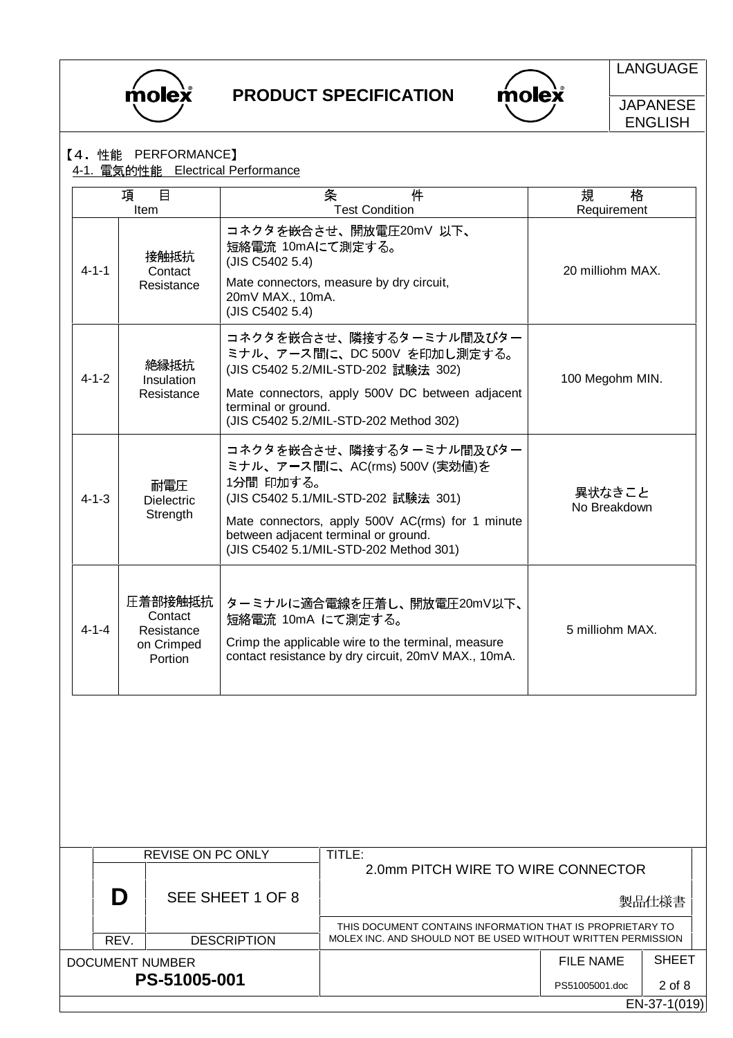



LANGUAGE

**JAPANESE** ENGLISH

## 【4. 性能 PERFORMANCE】

DOCUMENT NUMBER

**PS-51005-001**

4-1. 電気的性能 Electrical Performance

|                            | 項<br>Item | 目                                                         |                                                                            | 件<br>条<br><b>Test Condition</b>                                                                                                                                                                                                        | 規<br>格<br>Requirement  |
|----------------------------|-----------|-----------------------------------------------------------|----------------------------------------------------------------------------|----------------------------------------------------------------------------------------------------------------------------------------------------------------------------------------------------------------------------------------|------------------------|
| $4 - 1 - 1$                |           | 接触抵抗<br>Contact<br>Resistance                             | 短絡電流 10mAにて測定する。<br>(JIS C5402 5.4)<br>20mV MAX., 10mA.<br>(JIS C5402 5.4) | コネクタを嵌合させ、開放電圧20mV 以下、<br>Mate connectors, measure by dry circuit,                                                                                                                                                                     | 20 milliohm MAX.       |
| $4 - 1 - 2$                |           | 絶縁抵抗<br>Insulation<br>Resistance                          | terminal or ground.                                                        | コネクタを嵌合させ、隣接するターミナル間及びター<br>ミナル、アース間に、DC 500V を印加し測定する。<br>(JIS C5402 5.2/MIL-STD-202 試験法 302)<br>Mate connectors, apply 500V DC between adjacent<br>(JIS C5402 5.2/MIL-STD-202 Method 302)                                            | 100 Megohm MIN.        |
| $4 - 1 - 3$                |           | 耐電圧<br><b>Dielectric</b><br>Strength                      | 1分間 印加する。                                                                  | コネクタを嵌合させ、隣接するターミナル間及びター<br>ミナル、アース間に、AC(rms) 500V (実効値)を<br>(JIS C5402 5.1/MIL-STD-202 試験法 301)<br>Mate connectors, apply 500V AC(rms) for 1 minute<br>between adjacent terminal or ground.<br>(JIS C5402 5.1/MIL-STD-202 Method 301) | 異状なきこと<br>No Breakdown |
| $4 - 1 - 4$                |           | 圧着部接触抵抗<br>Contact<br>Resistance<br>on Crimped<br>Portion | 短絡電流 10mA にて測定する。                                                          | ターミナルに適合電線を圧着し、開放電圧20mV以下、<br>Crimp the applicable wire to the terminal, measure<br>contact resistance by dry circuit, 20mV MAX., 10mA.                                                                                                | 5 milliohm MAX.        |
|                            |           | <b>REVISE ON PC ONLY</b>                                  |                                                                            | TITLE:                                                                                                                                                                                                                                 |                        |
|                            |           |                                                           |                                                                            | 2.0mm PITCH WIRE TO WIRE CONNECTOR                                                                                                                                                                                                     |                        |
|                            | D         |                                                           | SEE SHEET 1 OF 8                                                           |                                                                                                                                                                                                                                        | 製品仕様書                  |
| <b>DESCRIPTION</b><br>REV. |           |                                                           |                                                                            | THIS DOCUMENT CONTAINS INFORMATION THAT IS PROPRIETARY TO<br>MOLEX INC. AND SHOULD NOT BE USED WITHOUT WRITTEN PERMISSION                                                                                                              |                        |

SHEET

FILE NAME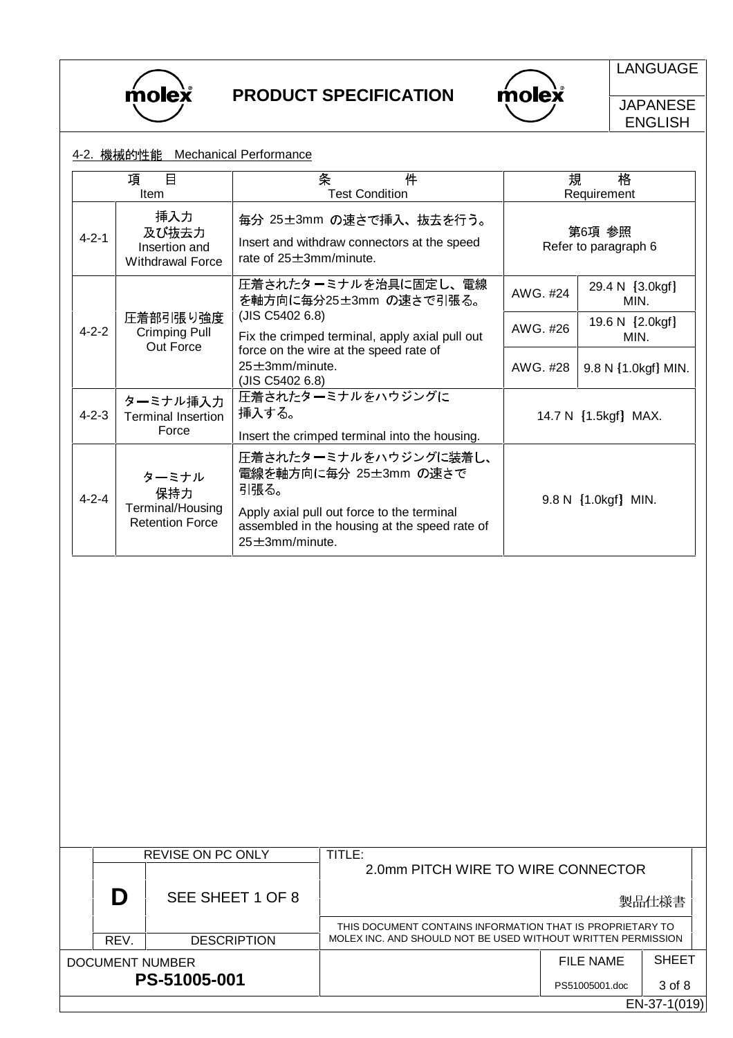

 $molex$ 

LANGUAGE

**JAPANESE** ENGLISH

#### 4-2. 機械的性能 Mechanical Performance

|                                                                         | 項<br>$\mathbf{B}$<br>Item                                  | 件<br>条<br><b>Test Condition</b>                                                                                                                                                |          | 規<br>格<br>Requirement          |  |  |
|-------------------------------------------------------------------------|------------------------------------------------------------|--------------------------------------------------------------------------------------------------------------------------------------------------------------------------------|----------|--------------------------------|--|--|
| 挿入力<br>及び抜去力<br>$4 - 2 - 1$<br>Insertion and<br><b>Withdrawal Force</b> |                                                            | 毎分 25±3mm の速さで挿入、抜去を行う。<br>Insert and withdraw connectors at the speed<br>rate of $25 \pm 3$ mm/minute.                                                                        |          | 第6項 参照<br>Refer to paragraph 6 |  |  |
|                                                                         |                                                            | 圧着されたターミナルを治具に固定し、電線<br>を軸方向に毎分25±3mm の速さで引張る。                                                                                                                                 | AWG. #24 | 29.4 N [3.0kgf]<br>MIN.        |  |  |
| $4 - 2 - 2$                                                             | 圧着部引張り強度<br><b>Crimping Pull</b>                           | (JIS C5402 6.8)<br>Fix the crimped terminal, apply axial pull out                                                                                                              | AWG. #26 | 19.6 N [2.0kgf]<br>MIN.        |  |  |
|                                                                         | Out Force                                                  | force on the wire at the speed rate of<br>$25 \pm 3$ mm/minute.<br>(JIS C5402 6.8)                                                                                             | AWG. #28 | 9.8 N [1.0kgf] MIN.            |  |  |
| $4 - 2 - 3$                                                             | ターミナル挿入力<br><b>Terminal Insertion</b><br>Force             | 圧着されたターミナルをハウジングに<br>挿入する。                                                                                                                                                     |          | 14.7 N [1.5kgf] MAX.           |  |  |
|                                                                         |                                                            | Insert the crimped terminal into the housing.                                                                                                                                  |          |                                |  |  |
| $4 - 2 - 4$                                                             | ターミナル<br>保持力<br>Terminal/Housing<br><b>Retention Force</b> | 圧着されたターミナルをハウジングに装着し、<br>電線を軸方向に毎分 25±3mm の速さで<br>引張る。<br>Apply axial pull out force to the terminal<br>assembled in the housing at the speed rate of<br>$25 \pm 3$ mm/minute. |          | 9.8 N [1.0kgf] MIN.            |  |  |

|                 | <b>REVISE ON PC ONLY</b> |                    |                                                              |                |              |  |  |  |
|-----------------|--------------------------|--------------------|--------------------------------------------------------------|----------------|--------------|--|--|--|
|                 |                          |                    | 2.0mm PITCH WIRE TO WIRE CONNECTOR                           |                |              |  |  |  |
|                 |                          | SEE SHEET 1 OF 8   |                                                              |                | 製品仕様書        |  |  |  |
|                 |                          |                    | THIS DOCUMENT CONTAINS INFORMATION THAT IS PROPRIETARY TO    |                |              |  |  |  |
|                 | REV.                     | <b>DESCRIPTION</b> | MOLEX INC. AND SHOULD NOT BE USED WITHOUT WRITTEN PERMISSION |                |              |  |  |  |
| DOCUMENT NUMBER |                          |                    |                                                              | FILE NAME      | <b>SHEET</b> |  |  |  |
|                 |                          | PS-51005-001       |                                                              | PS51005001.doc | 3 of 8       |  |  |  |
|                 |                          |                    |                                                              |                | EN-37-1(019) |  |  |  |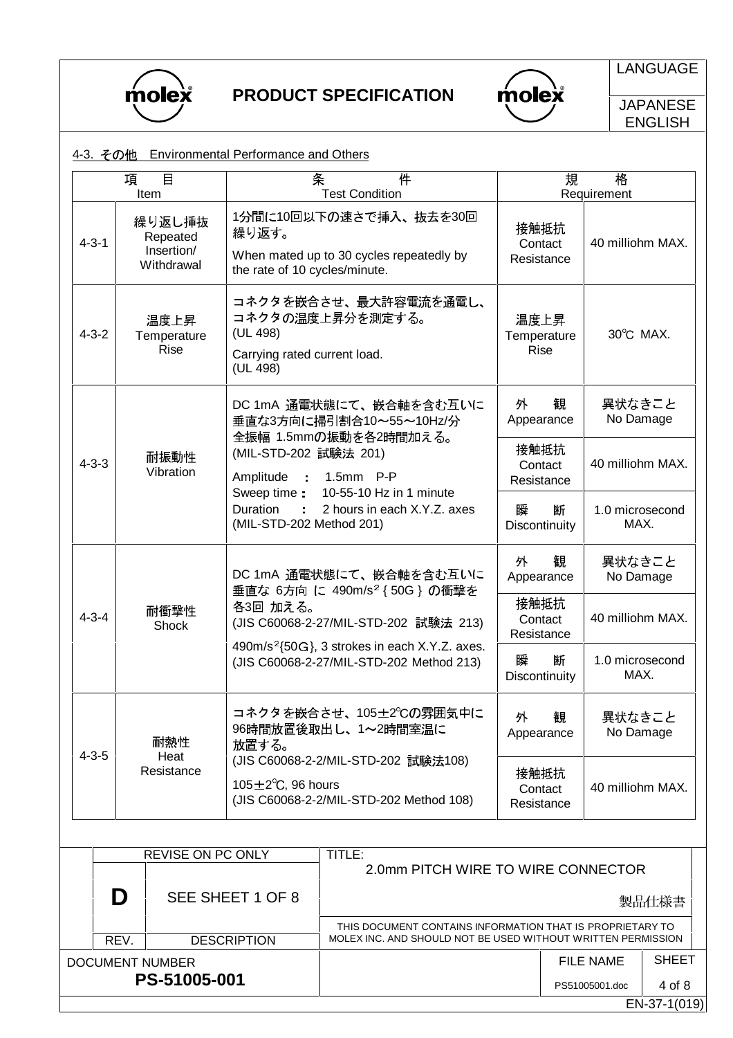

 $\bigwedge$  mole  $\bigwedge^{\!\!\circ}$ 

LANGUAGE

**JAPANESE** ENGLISH

|              | <u>4-3. その他</u>   |                                                | <b>Environmental Performance and Others</b>                                                                                                                |                                                                                                                           |                                                       |                               |                         |              |
|--------------|-------------------|------------------------------------------------|------------------------------------------------------------------------------------------------------------------------------------------------------------|---------------------------------------------------------------------------------------------------------------------------|-------------------------------------------------------|-------------------------------|-------------------------|--------------|
|              | 項                 | $\Box$<br>Item                                 |                                                                                                                                                            | 条<br>件<br><b>Test Condition</b>                                                                                           |                                                       | 規                             | 格<br>Requirement        |              |
| $4 - 3 - 1$  |                   | 繰り返し挿抜<br>Repeated<br>Insertion/<br>Withdrawal | 繰り返す。<br>the rate of 10 cycles/minute.                                                                                                                     | 1分間に10回以下の速さで挿入、抜去を30回<br>When mated up to 30 cycles repeatedly by                                                        | 接触抵抗                                                  | Contact<br>Resistance         | 40 milliohm MAX.        |              |
| $4 - 3 - 2$  |                   | 温度上昇<br>Temperature<br><b>Rise</b>             | (UL 498)<br>(UL 498)                                                                                                                                       | コネクタを嵌合させ、最大許容電流を通電し、<br>コネクタの温度上昇分を測定する。<br>温度上昇<br>Temperature<br><b>Rise</b><br>Carrying rated current load.           |                                                       |                               | 30°C MAX.               |              |
|              |                   |                                                |                                                                                                                                                            | DC 1mA 通電状態にて、嵌合軸を含む互いに<br>垂直な3方向に掃引割合10~55~10Hz/分                                                                        | 外<br>Appearance                                       | 観                             | 異状なきこと<br>No Damage     |              |
| $4 - 3 - 3$  |                   | 耐振動性<br>Vibration                              | Amplitude                                                                                                                                                  | 全振幅 1.5mmの振動を各2時間加える。<br>(MIL-STD-202 試験法 201)<br>: 1.5mm P-P                                                             |                                                       | 接触抵抗<br>Contact<br>Resistance | 40 milliohm MAX.        |              |
|              |                   |                                                | Sweep time :<br>10-55-10 Hz in 1 minute<br>Duration<br>2 hours in each X.Y.Z. axes<br>÷.<br>(MIL-STD-202 Method 201)                                       |                                                                                                                           | 断<br>瞬<br>Discontinuity                               |                               | 1.0 microsecond<br>MAX. |              |
|              |                   |                                                |                                                                                                                                                            | DC 1mA 通電状態にて、嵌合軸を含む互いに<br>垂直な 6方向 に 490m/s <sup>2</sup> {50G}の衝撃を                                                        | 外<br>観<br>Appearance                                  |                               | 異状なきこと<br>No Damage     |              |
| $4 - 3 - 4$  |                   | 耐衝撃性<br>Shock                                  | 各3回 加える。<br>(JIS C60068-2-27/MIL-STD-202 試験法 213)<br>490m/s <sup>2</sup> {50G}, 3 strokes in each X.Y.Z. axes.<br>(JIS C60068-2-27/MIL-STD-202 Method 213) |                                                                                                                           | 接触抵抗                                                  | Contact<br>Resistance         | 40 milliohm MAX.        |              |
|              |                   |                                                |                                                                                                                                                            |                                                                                                                           | 瞬<br>断<br>Discontinuity                               |                               | 1.0 microsecond<br>MAX. |              |
| $4 - 3 - 5$  |                   | 耐熱性<br>Heat                                    | 放置する。                                                                                                                                                      | コネクタを嵌合させ、105±2℃の雰囲気中に<br>96時間放置後取出し、1~2時間室温に                                                                             | 外<br>観<br>Appearance<br>接触抵抗<br>Contact<br>Resistance |                               | 異状なきこと<br>No Damage     |              |
|              |                   | Resistance                                     | 105 $\pm$ 2 $\degree$ C, 96 hours                                                                                                                          | (JIS C60068-2-2/MIL-STD-202 試験法108)<br>(JIS C60068-2-2/MIL-STD-202 Method 108)                                            |                                                       |                               | 40 milliohm MAX.        |              |
|              |                   |                                                |                                                                                                                                                            |                                                                                                                           |                                                       |                               |                         |              |
|              | REVISE ON PC ONLY |                                                | TITLE:<br>2.0mm PITCH WIRE TO WIRE CONNECTOR                                                                                                               |                                                                                                                           |                                                       |                               |                         |              |
|              | D                 |                                                | SEE SHEET 1 OF 8                                                                                                                                           |                                                                                                                           |                                                       |                               |                         | 製品仕様書        |
|              | REV.              |                                                | <b>DESCRIPTION</b>                                                                                                                                         | THIS DOCUMENT CONTAINS INFORMATION THAT IS PROPRIETARY TO<br>MOLEX INC. AND SHOULD NOT BE USED WITHOUT WRITTEN PERMISSION |                                                       |                               |                         |              |
|              |                   | <b>DOCUMENT NUMBER</b>                         |                                                                                                                                                            |                                                                                                                           |                                                       |                               | <b>FILE NAME</b>        | <b>SHEET</b> |
| PS-51005-001 |                   |                                                |                                                                                                                                                            |                                                                                                                           |                                                       |                               | PS51005001.doc          | 4 of 8       |

EN-37-1(019)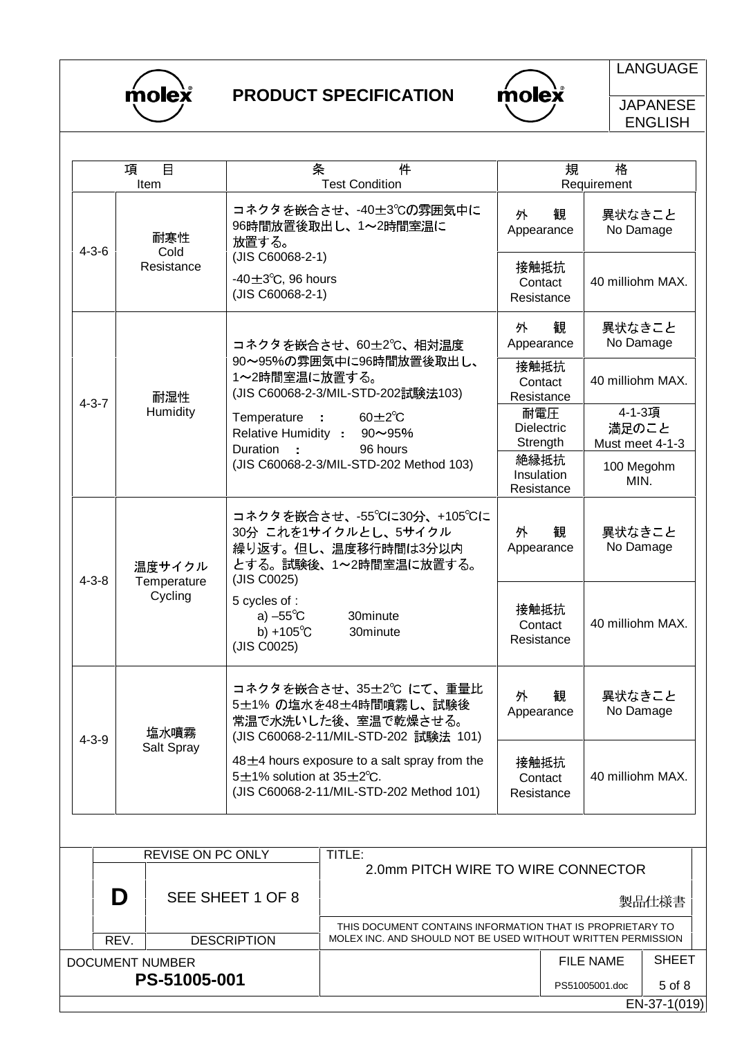

 $\overline{\text{mole}}$ 

LANGUAGE

**JAPANESE** ENGLISH

|             | 目<br>項<br>Item                   | 条<br>件<br><b>Test Condition</b>                                                                                                      | 規                                    | 格<br>Requirement                   |
|-------------|----------------------------------|--------------------------------------------------------------------------------------------------------------------------------------|--------------------------------------|------------------------------------|
| $4 - 3 - 6$ | 耐寒性<br>Cold                      | コネクタを嵌合させ、-40±3℃の雰囲気中に<br>96時間放置後取出し、1~2時間室温に<br>放置する。                                                                               | 観<br>外<br>Appearance                 | 異状なきこと<br>No Damage                |
|             | Resistance                       | (JIS C60068-2-1)<br>-40 $\pm$ 3 $\degree$ C, 96 hours<br>(JIS C60068-2-1)                                                            | 接触抵抗<br>Contact<br>Resistance        | 40 milliohm MAX.                   |
|             |                                  | コネクタを嵌合させ、60±2℃、相対温度                                                                                                                 | 外<br>観<br>Appearance                 | 異状なきこと<br>No Damage                |
| $4 - 3 - 7$ | 耐湿性                              | 90~95%の雰囲気中に96時間放置後取出し、<br>1~2時間室温に放置する。<br>(JIS C60068-2-3/MIL-STD-202試験法103)                                                       | 接触抵抗<br>Contact<br>Resistance        | 40 milliohm MAX.                   |
|             | Humidity                         | Temperature<br>$60 \pm 2^{\circ}C$<br><b>Contract</b><br>Relative Humidity : 90~95%<br>Duration<br>96 hours                          | 耐電圧<br><b>Dielectric</b><br>Strength | 4-1-3項<br>満足のこと<br>Must meet 4-1-3 |
|             |                                  | (JIS C60068-2-3/MIL-STD-202 Method 103)                                                                                              | 絶縁抵抗<br>Insulation<br>Resistance     | 100 Megohm<br>MIN.                 |
| $4 - 3 - 8$ | 温度サイクル<br>Temperature<br>Cycling | コネクタを嵌合させ、-55℃に30分、+105℃に<br>30分 これを1サイクルとし、5サイクル<br>繰り返す。但し、温度移行時間は3分以内<br>とする。試験後、1~2時間室温に放置する。<br>(JIS C0025)                     | 観<br>外<br>Appearance                 | 異状なきこと<br>No Damage                |
|             |                                  | 5 cycles of :<br>a) $-55^{\circ}$ C<br>30minute<br>b) +105 $^{\circ}$ C<br>30minute<br>(JIS C0025)                                   | 接触抵抗<br>Contact<br>Resistance        | 40 milliohm MAX.                   |
| $4 - 3 - 9$ | 塩水噴霧                             | コネクタを嵌合させ、35±2℃にて、重量比<br>5±1% の塩水を48±4時間噴霧し、試験後<br>常温で水洗いした後、室温で乾燥させる。<br>(JIS C60068-2-11/MIL-STD-202 試験法 101)                      | 外<br>観<br>Appearance                 | 異状なきこと<br>No Damage                |
|             | Salt Spray                       | $48\pm4$ hours exposure to a salt spray from the<br>5 $\pm$ 1% solution at 35 $\pm$ 2°C.<br>(JIS C60068-2-11/MIL-STD-202 Method 101) | 接触抵抗<br>Contact<br>Resistance        | 40 milliohm MAX.                   |

|                 |      | SEE SHEET 1 OF 8   |                                                                                                                           |                  | 製品仕様書        |  |  |  |  |
|-----------------|------|--------------------|---------------------------------------------------------------------------------------------------------------------------|------------------|--------------|--|--|--|--|
|                 | REV. | <b>DESCRIPTION</b> | THIS DOCUMENT CONTAINS INFORMATION THAT IS PROPRIETARY TO<br>MOLEX INC. AND SHOULD NOT BE USED WITHOUT WRITTEN PERMISSION |                  |              |  |  |  |  |
| DOCUMENT NUMBER |      |                    |                                                                                                                           | <b>FILE NAME</b> | <b>SHEET</b> |  |  |  |  |
|                 |      | PS-51005-001       |                                                                                                                           | PS51005001.doc   | 5 of 8       |  |  |  |  |
|                 |      |                    |                                                                                                                           |                  | EN-37-1(019) |  |  |  |  |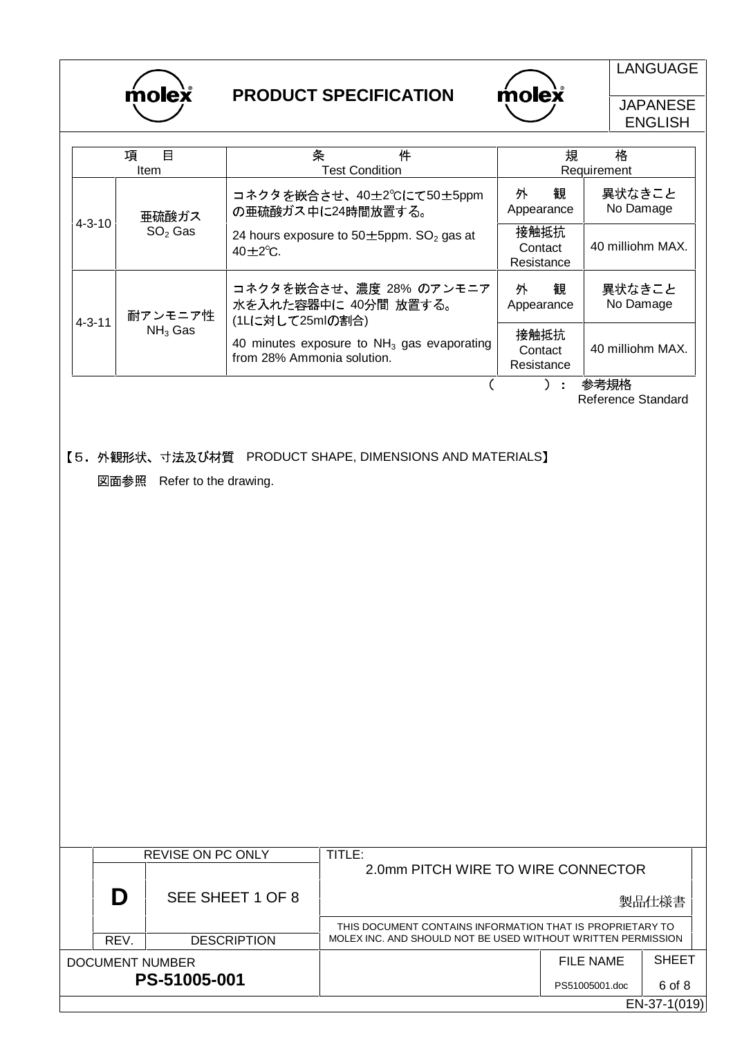

molex

LANGUAGE

**JAPANESE** ENGLISH

|              | 項<br>目<br><b>Item</b> | 条<br>件<br><b>Test Condition</b>                                                      | 規<br>格<br>Requirement         |                     |  |
|--------------|-----------------------|--------------------------------------------------------------------------------------|-------------------------------|---------------------|--|
| $4 - 3 - 10$ | 亜硫酸ガス                 | コネクタを嵌合させ、40±2℃にて50±5ppm<br>の亜硫酸ガス中に24時間放置する。                                        | 観<br>外<br>Appearance          | 異状なきこと<br>No Damage |  |
|              | $SO2$ Gas             | 24 hours exposure to $50 \pm 5$ ppm. SO <sub>2</sub> gas at<br>$40 \pm 2^{\circ}$ C. | 接触抵抗<br>Contact<br>Resistance | 40 milliohm MAX.    |  |
| $4 - 3 - 11$ | 耐アンモニア性               | コネクタを嵌合させ、濃度 28% のアンモニア<br>水を入れた容器中に 40分間 放置する。<br>(1Lに対して25mlの割合)                   |                               | 異状なきこと<br>No Damage |  |
|              | $NH3$ Gas             | 40 minutes exposure to $NH3$ gas evaporating<br>from 28% Ammonia solution.           | 接触抵抗<br>Contact<br>Resistance | 40 milliohm MAX.    |  |
|              |                       |                                                                                      |                               | 参考規格                |  |

Reference Standard

【5. 外観形状、寸法及び材質 PRODUCT SHAPE, DIMENSIONS AND MATERIALS】 図面参照 Refer to the drawing.

REVISE ON PC ONLY | TITLE: 2.0mm PITCH WIRE TO WIRE CONNECTOR **D** SEE SHEET 1 OF 8 製品仕様書 THIS DOCUMENT CONTAINS INFORMATION THAT IS PROPRIETARY TO REV. **DESCRIPTION** MOLEX INC. AND SHOULD NOT BE USED WITHOUT WRITTEN PERMISSION SHEET DOCUMENT NUMBER FILE NAME **PS-51005-001** 6 of 8 PS51005001.doc EN-37-1(019)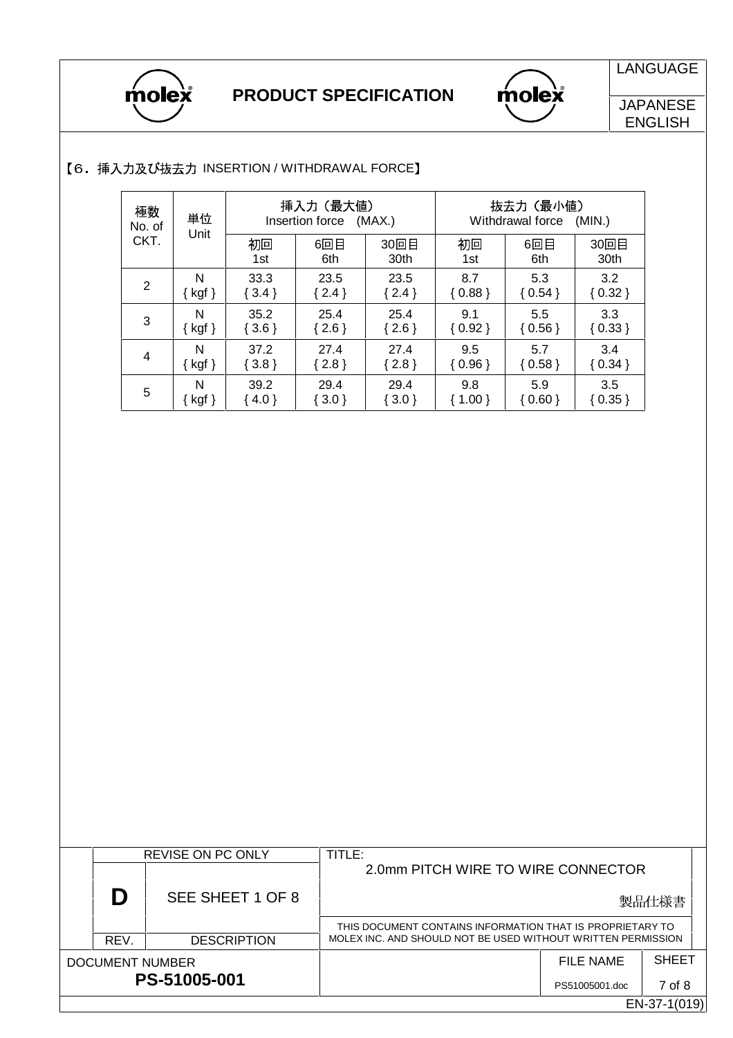



LANGUAGE

**JAPANESE** ENGLISH

| 極数<br>No. of<br>CKT. | 単位<br>Unit           | 挿入力(最大値)<br>Insertion force<br>(MAX.) |            |              | 抜去力(最小値)<br>Withdrawal force<br>(MIN.) |            |              |  |
|----------------------|----------------------|---------------------------------------|------------|--------------|----------------------------------------|------------|--------------|--|
|                      |                      | 初回<br>1st                             | 6回目<br>6th | 30回目<br>30th | 初回<br>1st                              | 6回目<br>6th | 30回目<br>30th |  |
| $\overline{2}$       | N                    | 33.3                                  | 23.5       | 23.5         | 8.7                                    | 5.3        | 3.2          |  |
|                      | $\{ \text{ kgf } \}$ | $\{3.4\}$                             | $\{2.4\}$  | $\{2.4\}$    | ${0.88}$                               | ${0.54}$   | ${0.32}$     |  |
| 3                    | N                    | 35.2                                  | 25.4       | 25.4         | 9.1                                    | 5.5        | 3.3          |  |
|                      | $\{ \text{ kgf } \}$ | $\{3.6\}$                             | $\{2.6\}$  | $\{2.6\}$    | $\{0.92\}$                             | ${0.56}$   | ${0.33}$     |  |
| 4                    | N                    | 37.2                                  | 27.4       | 27.4         | 9.5                                    | 5.7        | 3.4          |  |
|                      | $\{ \text{ kgf } \}$ | $\{3.8\}$                             | ${2.8}$    | $\{2.8\}$    | ${0.96}$                               | ${0.58}$   | ${0.34}$     |  |
| 5                    | N                    | 39.2                                  | 29.4       | 29.4         | 9.8                                    | 5.9        | 3.5          |  |
|                      | { kgf }              | $\{4.0\}$                             | $\{3.0\}$  | $\{3.0\}$    | $\{ 1.00 \}$                           | ${0.60}$   | ${0.35}$     |  |

### 【6. 挿入力及び抜去力 INSERTION / WITHDRAWAL FORCE】

|                        |      | REVISE ON PC ONLY  | TITLE:                                                       |                |              |
|------------------------|------|--------------------|--------------------------------------------------------------|----------------|--------------|
|                        |      |                    | 2.0mm PITCH WIRE TO WIRE CONNECTOR                           |                |              |
|                        | D    | SEE SHEET 1 OF 8   |                                                              |                | 製品仕様書        |
|                        |      |                    | THIS DOCUMENT CONTAINS INFORMATION THAT IS PROPRIETARY TO    |                |              |
|                        | REV. | <b>DESCRIPTION</b> | MOLEX INC. AND SHOULD NOT BE USED WITHOUT WRITTEN PERMISSION |                |              |
| <b>DOCUMENT NUMBER</b> |      |                    |                                                              | FILE NAME      | <b>SHEET</b> |
|                        |      | PS-51005-001       |                                                              | PS51005001.doc | 7 of 8       |
|                        |      |                    |                                                              |                | EN-37-1(019) |